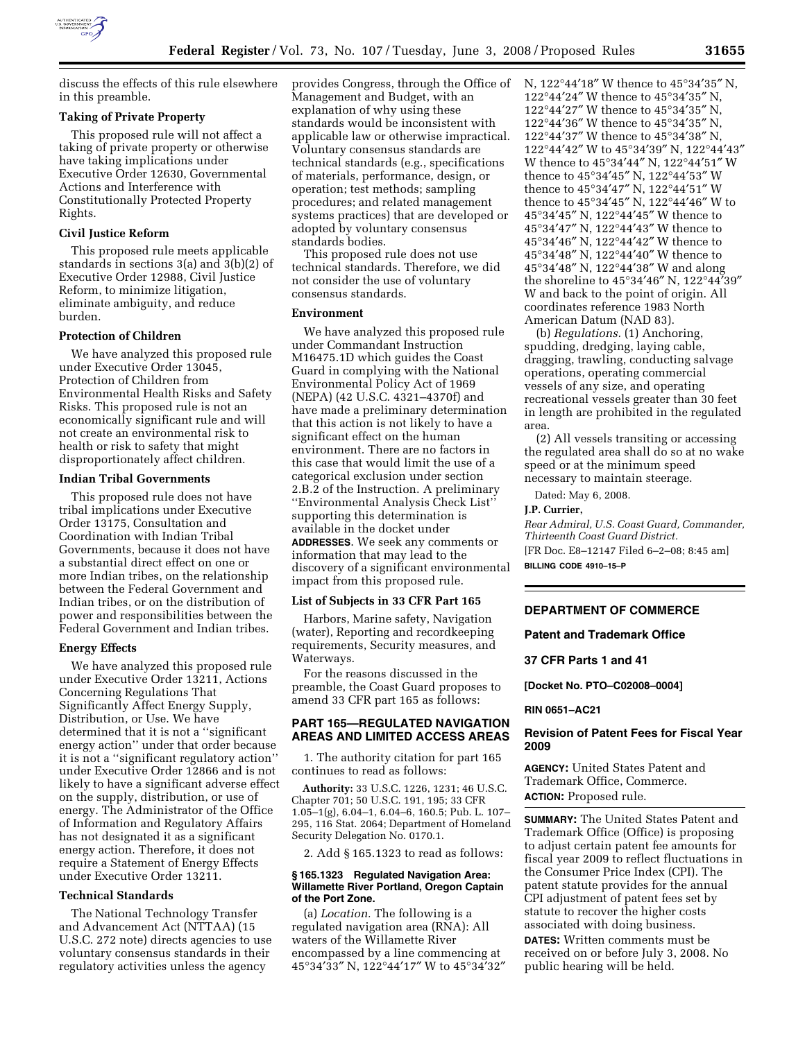

discuss the effects of this rule elsewhere in this preamble.

# **Taking of Private Property**

This proposed rule will not affect a taking of private property or otherwise have taking implications under Executive Order 12630, Governmental Actions and Interference with Constitutionally Protected Property Rights.

## **Civil Justice Reform**

This proposed rule meets applicable standards in sections 3(a) and 3(b)(2) of Executive Order 12988, Civil Justice Reform, to minimize litigation, eliminate ambiguity, and reduce burden.

# **Protection of Children**

We have analyzed this proposed rule under Executive Order 13045, Protection of Children from Environmental Health Risks and Safety Risks. This proposed rule is not an economically significant rule and will not create an environmental risk to health or risk to safety that might disproportionately affect children.

#### **Indian Tribal Governments**

This proposed rule does not have tribal implications under Executive Order 13175, Consultation and Coordination with Indian Tribal Governments, because it does not have a substantial direct effect on one or more Indian tribes, on the relationship between the Federal Government and Indian tribes, or on the distribution of power and responsibilities between the Federal Government and Indian tribes.

#### **Energy Effects**

We have analyzed this proposed rule under Executive Order 13211, Actions Concerning Regulations That Significantly Affect Energy Supply, Distribution, or Use. We have determined that it is not a ''significant energy action'' under that order because it is not a ''significant regulatory action'' under Executive Order 12866 and is not likely to have a significant adverse effect on the supply, distribution, or use of energy. The Administrator of the Office of Information and Regulatory Affairs has not designated it as a significant energy action. Therefore, it does not require a Statement of Energy Effects under Executive Order 13211.

# **Technical Standards**

The National Technology Transfer and Advancement Act (NTTAA) (15 U.S.C. 272 note) directs agencies to use voluntary consensus standards in their regulatory activities unless the agency

provides Congress, through the Office of N, 122°44′18″ W thence to 45°34′35″ N, Management and Budget, with an explanation of why using these standards would be inconsistent with applicable law or otherwise impractical. Voluntary consensus standards are technical standards (e.g., specifications of materials, performance, design, or operation; test methods; sampling procedures; and related management systems practices) that are developed or adopted by voluntary consensus standards bodies.

This proposed rule does not use technical standards. Therefore, we did not consider the use of voluntary consensus standards.

#### **Environment**

We have analyzed this proposed rule under Commandant Instruction M16475.1D which guides the Coast Guard in complying with the National Environmental Policy Act of 1969 (NEPA) (42 U.S.C. 4321–4370f) and have made a preliminary determination that this action is not likely to have a significant effect on the human environment. There are no factors in this case that would limit the use of a categorical exclusion under section 2.B.2 of the Instruction. A preliminary ''Environmental Analysis Check List'' supporting this determination is available in the docket under **ADDRESSES**. We seek any comments or information that may lead to the discovery of a significant environmental impact from this proposed rule.

# **List of Subjects in 33 CFR Part 165**

Harbors, Marine safety, Navigation (water), Reporting and recordkeeping requirements, Security measures, and Waterways.

For the reasons discussed in the preamble, the Coast Guard proposes to amend 33 CFR part 165 as follows:

# **PART 165—REGULATED NAVIGATION AREAS AND LIMITED ACCESS AREAS**

1. The authority citation for part 165 continues to read as follows:

**Authority:** 33 U.S.C. 1226, 1231; 46 U.S.C. Chapter 701; 50 U.S.C. 191, 195; 33 CFR 1.05–1(g), 6.04–1, 6.04–6, 160.5; Pub. L. 107– 295, 116 Stat. 2064; Department of Homeland Security Delegation No. 0170.1.

2. Add § 165.1323 to read as follows:

#### **§ 165.1323 Regulated Navigation Area: Willamette River Portland, Oregon Captain of the Port Zone.**

(a) *Location.* The following is a regulated navigation area (RNA): All waters of the Willamette River encompassed by a line commencing at 45°34′33″ N, 122°44′17″ W to 45°34′32″

122°44′24″ W thence to 45°34′35″ N, 122°44′27″ W thence to 45°34′35″ N, 122°44′36″ W thence to 45°34′35″ N,  $122^{\circ}44'37''$  W thence to  $45^{\circ}34'38''$  N, 122°44′42″ W to 45°34′39″ N, 122°44′43″ W thence to 45°34′44″ N, 122°44′51″ W thence to 45°34′45″ N, 122°44′53″ W thence to 45°34′47″ N, 122°44′51″ W thence to 45°34′45″ N, 122°44′46″ W to 45°34′45″ N, 122°44′45″ W thence to 45°34′47″ N, 122°44′43″ W thence to 45°34′46″ N, 122°44′42″ W thence to 45°34′48″ N, 122°44′40″ W thence to 45°34′48″ N, 122°44′38″ W and along the shoreline to 45°34′46″ N, 122°44′39″ W and back to the point of origin. All coordinates reference 1983 North American Datum (NAD 83).

(b) *Regulations.* (1) Anchoring, spudding, dredging, laying cable, dragging, trawling, conducting salvage operations, operating commercial vessels of any size, and operating recreational vessels greater than 30 feet in length are prohibited in the regulated area.

(2) All vessels transiting or accessing the regulated area shall do so at no wake speed or at the minimum speed necessary to maintain steerage.

Dated: May 6, 2008.

#### **J.P. Currier,**

*Rear Admiral, U.S. Coast Guard, Commander, Thirteenth Coast Guard District.*  [FR Doc. E8–12147 Filed 6–2–08; 8:45 am] **BILLING CODE 4910–15–P** 

# **DEPARTMENT OF COMMERCE**

**Patent and Trademark Office** 

#### **37 CFR Parts 1 and 41**

**[Docket No. PTO–C02008–0004]** 

**RIN 0651–AC21** 

#### **Revision of Patent Fees for Fiscal Year 2009**

**AGENCY:** United States Patent and Trademark Office, Commerce. **ACTION:** Proposed rule.

**SUMMARY:** The United States Patent and Trademark Office (Office) is proposing to adjust certain patent fee amounts for fiscal year 2009 to reflect fluctuations in the Consumer Price Index (CPI). The patent statute provides for the annual CPI adjustment of patent fees set by statute to recover the higher costs associated with doing business.

**DATES:** Written comments must be received on or before July 3, 2008. No public hearing will be held.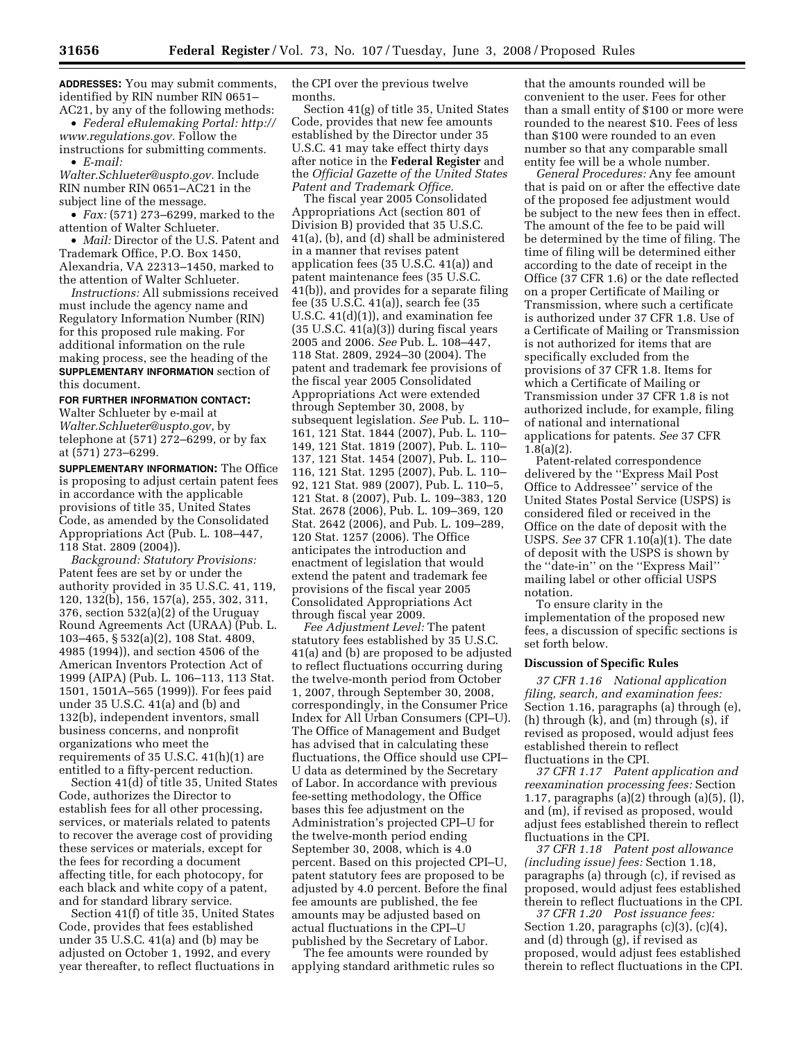**ADDRESSES:** You may submit comments, identified by RIN number RIN 0651– AC21, by any of the following methods:

• *Federal eRulemaking Portal: http:// www.regulations.gov.* Follow the instructions for submitting comments. • *E-mail:* 

*Walter.Schlueter@uspto.gov.* Include RIN number RIN 0651–AC21 in the subject line of the message.

• *Fax:* (571) 273–6299, marked to the attention of Walter Schlueter.

• *Mail:* Director of the U.S. Patent and Trademark Office, P.O. Box 1450, Alexandria, VA 22313–1450, marked to the attention of Walter Schlueter.

*Instructions:* All submissions received must include the agency name and Regulatory Information Number (RIN) for this proposed rule making. For additional information on the rule making process, see the heading of the **SUPPLEMENTARY INFORMATION** section of this document.

#### **FOR FURTHER INFORMATION CONTACT:**

Walter Schlueter by e-mail at *Walter.Schlueter@uspto.gov*, by telephone at (571) 272–6299, or by fax at (571) 273–6299.

**SUPPLEMENTARY INFORMATION:** The Office is proposing to adjust certain patent fees in accordance with the applicable provisions of title 35, United States Code, as amended by the Consolidated Appropriations Act (Pub. L. 108–447, 118 Stat. 2809 (2004)).

*Background: Statutory Provisions:*  Patent fees are set by or under the authority provided in 35 U.S.C. 41, 119, 120, 132(b), 156, 157(a), 255, 302, 311, 376, section 532(a)(2) of the Uruguay Round Agreements Act (URAA) (Pub. L. 103–465, § 532(a)(2), 108 Stat. 4809, 4985 (1994)), and section 4506 of the American Inventors Protection Act of 1999 (AIPA) (Pub. L. 106–113, 113 Stat. 1501, 1501A–565 (1999)). For fees paid under 35 U.S.C. 41(a) and (b) and 132(b), independent inventors, small business concerns, and nonprofit organizations who meet the requirements of 35 U.S.C. 41(h)(1) are entitled to a fifty-percent reduction.

Section 41(d) of title 35, United States Code, authorizes the Director to establish fees for all other processing, services, or materials related to patents to recover the average cost of providing these services or materials, except for the fees for recording a document affecting title, for each photocopy, for each black and white copy of a patent, and for standard library service.

Section 41(f) of title 35, United States Code, provides that fees established under 35 U.S.C. 41(a) and (b) may be adjusted on October 1, 1992, and every year thereafter, to reflect fluctuations in the CPI over the previous twelve months.

Section 41(g) of title 35, United States Code, provides that new fee amounts established by the Director under 35 U.S.C. 41 may take effect thirty days after notice in the **Federal Register** and the *Official Gazette of the United States Patent and Trademark Office.* 

The fiscal year 2005 Consolidated Appropriations Act (section 801 of Division B) provided that 35 U.S.C. 41(a), (b), and (d) shall be administered in a manner that revises patent application fees (35 U.S.C. 41(a)) and patent maintenance fees (35 U.S.C. 41(b)), and provides for a separate filing fee (35 U.S.C. 41(a)), search fee (35 U.S.C. 41(d)(1)), and examination fee  $(35 \text{ U.S.C. } 41(a)(3))$  during fiscal years 2005 and 2006. *See* Pub. L. 108–447, 118 Stat. 2809, 2924–30 (2004). The patent and trademark fee provisions of the fiscal year 2005 Consolidated Appropriations Act were extended through September 30, 2008, by subsequent legislation. *See* Pub. L. 110– 161, 121 Stat. 1844 (2007), Pub. L. 110– 149, 121 Stat. 1819 (2007), Pub. L. 110– 137, 121 Stat. 1454 (2007), Pub. L. 110– 116, 121 Stat. 1295 (2007), Pub. L. 110– 92, 121 Stat. 989 (2007), Pub. L. 110–5, 121 Stat. 8 (2007), Pub. L. 109–383, 120 Stat. 2678 (2006), Pub. L. 109–369, 120 Stat. 2642 (2006), and Pub. L. 109–289, 120 Stat. 1257 (2006). The Office anticipates the introduction and enactment of legislation that would extend the patent and trademark fee provisions of the fiscal year 2005 Consolidated Appropriations Act through fiscal year 2009.

*Fee Adjustment Level:* The patent statutory fees established by 35 U.S.C. 41(a) and (b) are proposed to be adjusted to reflect fluctuations occurring during the twelve-month period from October 1, 2007, through September 30, 2008, correspondingly, in the Consumer Price Index for All Urban Consumers (CPI–U). The Office of Management and Budget has advised that in calculating these fluctuations, the Office should use CPI– U data as determined by the Secretary of Labor. In accordance with previous fee-setting methodology, the Office bases this fee adjustment on the Administration's projected CPI–U for the twelve-month period ending September 30, 2008, which is 4.0 percent. Based on this projected CPI–U, patent statutory fees are proposed to be adjusted by 4.0 percent. Before the final fee amounts are published, the fee amounts may be adjusted based on actual fluctuations in the CPI–U published by the Secretary of Labor.

The fee amounts were rounded by applying standard arithmetic rules so

that the amounts rounded will be convenient to the user. Fees for other than a small entity of \$100 or more were rounded to the nearest \$10. Fees of less than \$100 were rounded to an even number so that any comparable small entity fee will be a whole number.

*General Procedures:* Any fee amount that is paid on or after the effective date of the proposed fee adjustment would be subject to the new fees then in effect. The amount of the fee to be paid will be determined by the time of filing. The time of filing will be determined either according to the date of receipt in the Office (37 CFR 1.6) or the date reflected on a proper Certificate of Mailing or Transmission, where such a certificate is authorized under 37 CFR 1.8. Use of a Certificate of Mailing or Transmission is not authorized for items that are specifically excluded from the provisions of 37 CFR 1.8. Items for which a Certificate of Mailing or Transmission under 37 CFR 1.8 is not authorized include, for example, filing of national and international applications for patents. *See* 37 CFR 1.8(a)(2).

Patent-related correspondence delivered by the ''Express Mail Post Office to Addressee'' service of the United States Postal Service (USPS) is considered filed or received in the Office on the date of deposit with the USPS. *See* 37 CFR 1.10(a)(1). The date of deposit with the USPS is shown by the ''date-in'' on the ''Express Mail'' mailing label or other official USPS notation.

To ensure clarity in the implementation of the proposed new fees, a discussion of specific sections is set forth below.

#### **Discussion of Specific Rules**

*37 CFR 1.16 National application filing, search, and examination fees:*  Section 1.16, paragraphs (a) through (e), (h) through (k), and (m) through (s), if revised as proposed, would adjust fees established therein to reflect fluctuations in the CPI.

*37 CFR 1.17 Patent application and reexamination processing fees:* Section 1.17, paragraphs (a)(2) through (a)(5), (l), and (m), if revised as proposed, would adjust fees established therein to reflect fluctuations in the CPI.

*37 CFR 1.18 Patent post allowance (including issue) fees:* Section 1.18, paragraphs (a) through (c), if revised as proposed, would adjust fees established therein to reflect fluctuations in the CPI.

*37 CFR 1.20 Post issuance fees:*  Section 1.20, paragraphs (c)(3), (c)(4), and (d) through (g), if revised as proposed, would adjust fees established therein to reflect fluctuations in the CPI.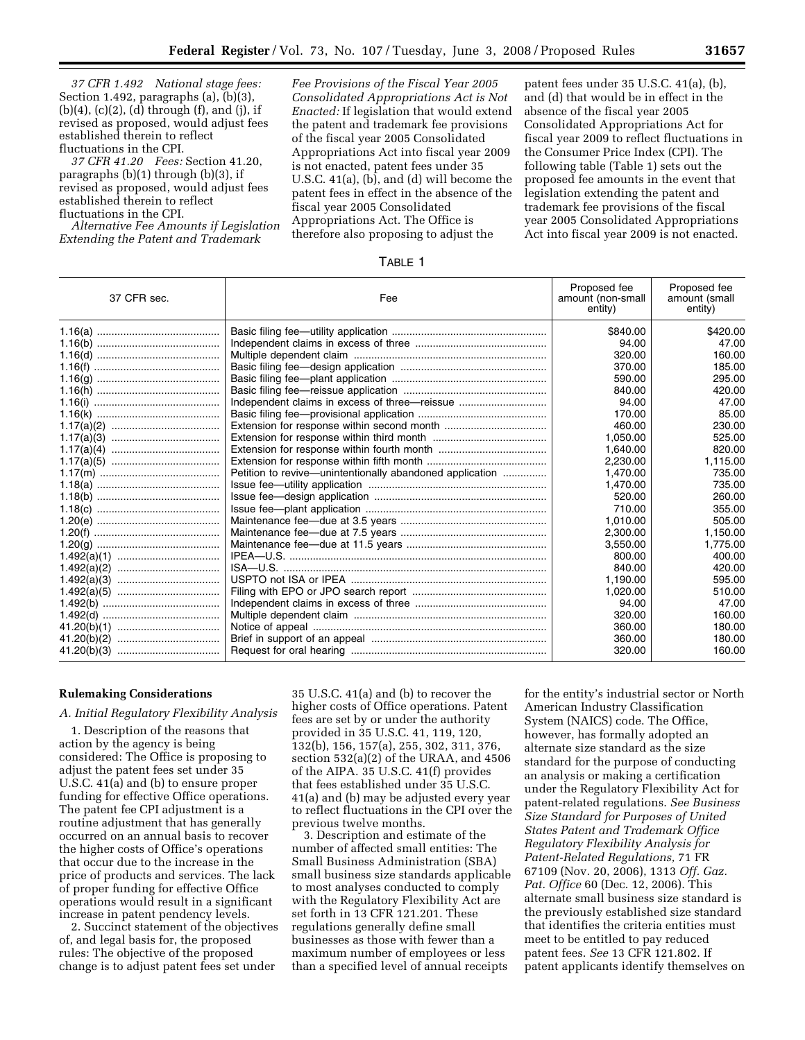*37 CFR 1.492 National stage fees:*  Section 1.492, paragraphs (a), (b)(3),  $(b)(4)$ ,  $(c)(2)$ ,  $(d)$  through  $(f)$ , and  $(j)$ , if revised as proposed, would adjust fees established therein to reflect fluctuations in the CPI.

*37 CFR 41.20 Fees:* Section 41.20, paragraphs (b)(1) through (b)(3), if revised as proposed, would adjust fees established therein to reflect fluctuations in the CPI.

*Alternative Fee Amounts if Legislation Extending the Patent and Trademark* 

*Fee Provisions of the Fiscal Year 2005 Consolidated Appropriations Act is Not Enacted:* If legislation that would extend the patent and trademark fee provisions of the fiscal year 2005 Consolidated Appropriations Act into fiscal year 2009 is not enacted, patent fees under 35 U.S.C. 41(a), (b), and (d) will become the patent fees in effect in the absence of the fiscal year 2005 Consolidated Appropriations Act. The Office is therefore also proposing to adjust the

patent fees under 35 U.S.C. 41(a), (b), and (d) that would be in effect in the absence of the fiscal year 2005 Consolidated Appropriations Act for fiscal year 2009 to reflect fluctuations in the Consumer Price Index (CPI). The following table (Table 1) sets out the proposed fee amounts in the event that legislation extending the patent and trademark fee provisions of the fiscal year 2005 Consolidated Appropriations Act into fiscal year 2009 is not enacted.

|--|

| 37 CFR sec. | Fee                                                      | Proposed fee<br>amount (non-small<br>entity) | Proposed fee<br>amount (small<br>entity) |
|-------------|----------------------------------------------------------|----------------------------------------------|------------------------------------------|
|             |                                                          | \$840.00                                     | \$420.00                                 |
|             |                                                          | 94.00                                        | 47.00                                    |
|             |                                                          | 320.00                                       | 160.00                                   |
|             |                                                          | 370.00                                       | 185.00                                   |
|             |                                                          | 590.00                                       | 295.00                                   |
|             |                                                          | 840.00                                       | 420.00                                   |
|             |                                                          | 94.00                                        | 47.00                                    |
|             |                                                          | 170.00                                       | 85.00                                    |
|             |                                                          | 460.00                                       | 230.00                                   |
|             |                                                          | 1,050.00                                     | 525.00                                   |
|             |                                                          | 1,640.00                                     | 820.00                                   |
|             |                                                          | 2,230.00                                     | 1,115.00                                 |
|             | Petition to revive—unintentionally abandoned application | 1,470.00                                     | 735.00                                   |
|             |                                                          | 1.470.00                                     | 735.00                                   |
|             |                                                          | 520.00                                       | 260.00                                   |
|             |                                                          | 710.00                                       | 355.00                                   |
|             |                                                          | 1.010.00                                     | 505.00                                   |
|             |                                                          | 2,300.00                                     | 1,150.00                                 |
|             |                                                          | 3,550.00                                     | 1,775.00                                 |
|             |                                                          | 800.00                                       | 400.00                                   |
|             |                                                          | 840.00                                       | 420.00                                   |
|             |                                                          | 1.190.00                                     | 595.00                                   |
|             |                                                          | 1,020.00                                     | 510.00                                   |
|             |                                                          | 94.00                                        | 47.00                                    |
|             |                                                          | 320.00                                       | 160.00                                   |
|             |                                                          | 360.00                                       | 180.00                                   |
|             |                                                          | 360.00                                       | 180.00                                   |
|             |                                                          | 320.00                                       | 160.00                                   |
|             |                                                          |                                              |                                          |

## **Rulemaking Considerations**

*A. Initial Regulatory Flexibility Analysis* 

1. Description of the reasons that action by the agency is being considered: The Office is proposing to adjust the patent fees set under 35 U.S.C. 41(a) and (b) to ensure proper funding for effective Office operations. The patent fee CPI adjustment is a routine adjustment that has generally occurred on an annual basis to recover the higher costs of Office's operations that occur due to the increase in the price of products and services. The lack of proper funding for effective Office operations would result in a significant increase in patent pendency levels.

2. Succinct statement of the objectives of, and legal basis for, the proposed rules: The objective of the proposed change is to adjust patent fees set under

35 U.S.C. 41(a) and (b) to recover the higher costs of Office operations. Patent fees are set by or under the authority provided in 35 U.S.C. 41, 119, 120, 132(b), 156, 157(a), 255, 302, 311, 376, section 532(a)(2) of the URAA, and 4506 of the AIPA. 35 U.S.C. 41(f) provides that fees established under 35 U.S.C. 41(a) and (b) may be adjusted every year to reflect fluctuations in the CPI over the previous twelve months.

3. Description and estimate of the number of affected small entities: The Small Business Administration (SBA) small business size standards applicable to most analyses conducted to comply with the Regulatory Flexibility Act are set forth in 13 CFR 121.201. These regulations generally define small businesses as those with fewer than a maximum number of employees or less than a specified level of annual receipts

for the entity's industrial sector or North American Industry Classification System (NAICS) code. The Office, however, has formally adopted an alternate size standard as the size standard for the purpose of conducting an analysis or making a certification under the Regulatory Flexibility Act for patent-related regulations. *See Business Size Standard for Purposes of United States Patent and Trademark Office Regulatory Flexibility Analysis for Patent-Related Regulations,* 71 FR 67109 (Nov. 20, 2006), 1313 *Off. Gaz. Pat. Office* 60 (Dec. 12, 2006). This alternate small business size standard is the previously established size standard that identifies the criteria entities must meet to be entitled to pay reduced patent fees. *See* 13 CFR 121.802. If patent applicants identify themselves on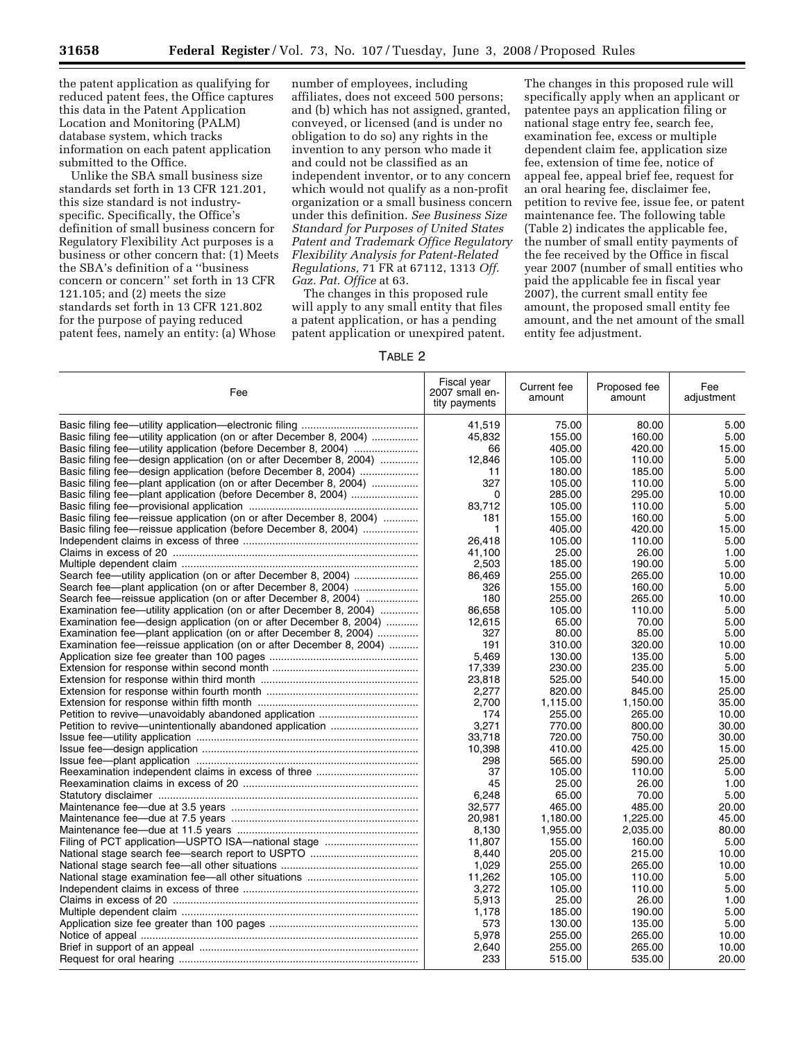the patent application as qualifying for reduced patent fees, the Office captures this data in the Patent Application Location and Monitoring (PALM) database system, which tracks information on each patent application submitted to the Office.

Unlike the SBA small business size standards set forth in 13 CFR 121.201, this size standard is not industryspecific. Specifically, the Office's definition of small business concern for Regulatory Flexibility Act purposes is a business or other concern that: (1) Meets the SBA's definition of a ''business concern or concern'' set forth in 13 CFR 121.105; and (2) meets the size standards set forth in 13 CFR 121.802 for the purpose of paying reduced patent fees, namely an entity: (a) Whose

number of employees, including affiliates, does not exceed 500 persons; and (b) which has not assigned, granted, conveyed, or licensed (and is under no obligation to do so) any rights in the invention to any person who made it and could not be classified as an independent inventor, or to any concern which would not qualify as a non-profit organization or a small business concern under this definition. *See Business Size Standard for Purposes of United States Patent and Trademark Office Regulatory Flexibility Analysis for Patent-Related Regulations,* 71 FR at 67112, 1313 *Off. Gaz. Pat. Office* at 63.

The changes in this proposed rule will apply to any small entity that files a patent application, or has a pending patent application or unexpired patent.

The changes in this proposed rule will specifically apply when an applicant or patentee pays an application filing or national stage entry fee, search fee, examination fee, excess or multiple dependent claim fee, application size fee, extension of time fee, notice of appeal fee, appeal brief fee, request for an oral hearing fee, disclaimer fee, petition to revive fee, issue fee, or patent maintenance fee. The following table (Table 2) indicates the applicable fee, the number of small entity payments of the fee received by the Office in fiscal year 2007 (number of small entities who paid the applicable fee in fiscal year 2007), the current small entity fee amount, the proposed small entity fee amount, and the net amount of the small entity fee adjustment.

#### TABLE 2

| Fee                                                                 | Fiscal year<br>2007 small en-<br>tity payments | Current fee<br>amount | Proposed fee<br>amount | Fee<br>adjustment |
|---------------------------------------------------------------------|------------------------------------------------|-----------------------|------------------------|-------------------|
|                                                                     | 41,519                                         | 75.00                 | 80.00                  | 5.00              |
| Basic filing fee—utility application (on or after December 8, 2004) | 45.832                                         | 155.00                | 160.00                 | 5.00              |
| Basic filing fee-utility application (before December 8, 2004)      | 66                                             | 405.00                | 420.00                 | 15.00             |
| Basic filing fee-design application (on or after December 8, 2004)  | 12,846                                         | 105.00                | 110.00                 | 5.00              |
| Basic filing fee—design application (before December 8, 2004)       | 11                                             | 180.00                | 185.00                 | 5.00              |
| Basic filing fee—plant application (on or after December 8, 2004)   | 327                                            | 105.00                | 110.00                 | 5.00              |
|                                                                     | 0                                              | 285.00                | 295.00                 | 10.00             |
|                                                                     | 83,712                                         | 105.00                | 110.00                 | 5.00              |
| Basic filing fee—reissue application (on or after December 8, 2004) | 181                                            | 155.00                | 160.00                 | 5.00              |
| Basic filing fee—reissue application (before December 8, 2004)      | $\mathbf{1}$                                   | 405.00                | 420.00                 | 15.00             |
|                                                                     | 26,418                                         | 105.00                | 110.00                 | 5.00              |
|                                                                     | 41,100                                         | 25.00                 | 26.00                  | 1.00              |
|                                                                     | 2,503                                          | 185.00                | 190.00                 | 5.00              |
| Search fee—utility application (on or after December 8, 2004)       | 86.469                                         | 255.00                | 265.00                 | 10.00             |
| Search fee—plant application (on or after December 8, 2004)         | 326                                            | 155.00                | 160.00                 | 5.00              |
| Search fee—reissue application (on or after December 8, 2004)       | 180                                            | 255.00                | 265.00                 | 10.00             |
| Examination fee—utility application (on or after December 8, 2004)  | 86.658                                         | 105.00                | 110.00                 | 5.00              |
| Examination fee—design application (on or after December 8, 2004)   | 12,615                                         | 65.00                 | 70.00                  | 5.00              |
|                                                                     | 327                                            | 80.00                 | 85.00                  | 5.00              |
| Examination fee—plant application (on or after December 8, 2004)    | 191                                            | 310.00                | 320.00                 | 10.00             |
| Examination fee—reissue application (on or after December 8, 2004)  |                                                |                       |                        | 5.00              |
|                                                                     | 5,469                                          | 130.00                | 135.00<br>235.00       | 5.00              |
|                                                                     | 17,339                                         | 230.00                |                        |                   |
|                                                                     | 23.818                                         | 525.00                | 540.00                 | 15.00             |
|                                                                     | 2,277                                          | 820.00                | 845.00                 | 25.00             |
|                                                                     | 2.700                                          | 1.115.00              | 1.150.00               | 35.00             |
|                                                                     | 174                                            | 255.00                | 265.00                 | 10.00             |
|                                                                     | 3,271                                          | 770.00                | 800.00                 | 30.00             |
|                                                                     | 33,718                                         | 720.00                | 750.00                 | 30.00             |
|                                                                     | 10,398                                         | 410.00                | 425.00                 | 15.00             |
|                                                                     | 298                                            | 565.00                | 590.00                 | 25.00             |
|                                                                     | 37                                             | 105.00                | 110.00                 | 5.00              |
|                                                                     | 45                                             | 25.00                 | 26.00                  | 1.00              |
|                                                                     | 6,248                                          | 65.00                 | 70.00                  | 5.00              |
|                                                                     | 32,577                                         | 465.00                | 485.00                 | 20.00             |
|                                                                     | 20,981                                         | 1,180.00              | 1,225.00               | 45.00             |
|                                                                     | 8.130                                          | 1,955.00              | 2,035.00               | 80.00             |
|                                                                     | 11,807                                         | 155.00                | 160.00                 | 5.00              |
|                                                                     | 8.440                                          | 205.00                | 215.00                 | 10.00             |
|                                                                     | 1.029                                          | 255.00                | 265.00                 | 10.00             |
|                                                                     | 11.262                                         | 105.00                | 110.00                 | 5.00              |
|                                                                     | 3,272                                          | 105.00                | 110.00                 | 5.00              |
|                                                                     | 5,913                                          | 25.00                 | 26.00                  | 1.00              |
|                                                                     | 1,178                                          | 185.00                | 190.00                 | 5.00              |
|                                                                     | 573                                            | 130.00                | 135.00                 | 5.00              |
|                                                                     | 5,978                                          | 255.00                | 265.00                 | 10.00             |
|                                                                     | 2.640                                          | 255.00                | 265.00                 | 10.00             |
|                                                                     | 233                                            | 515.00                | 535.00                 | 20.00             |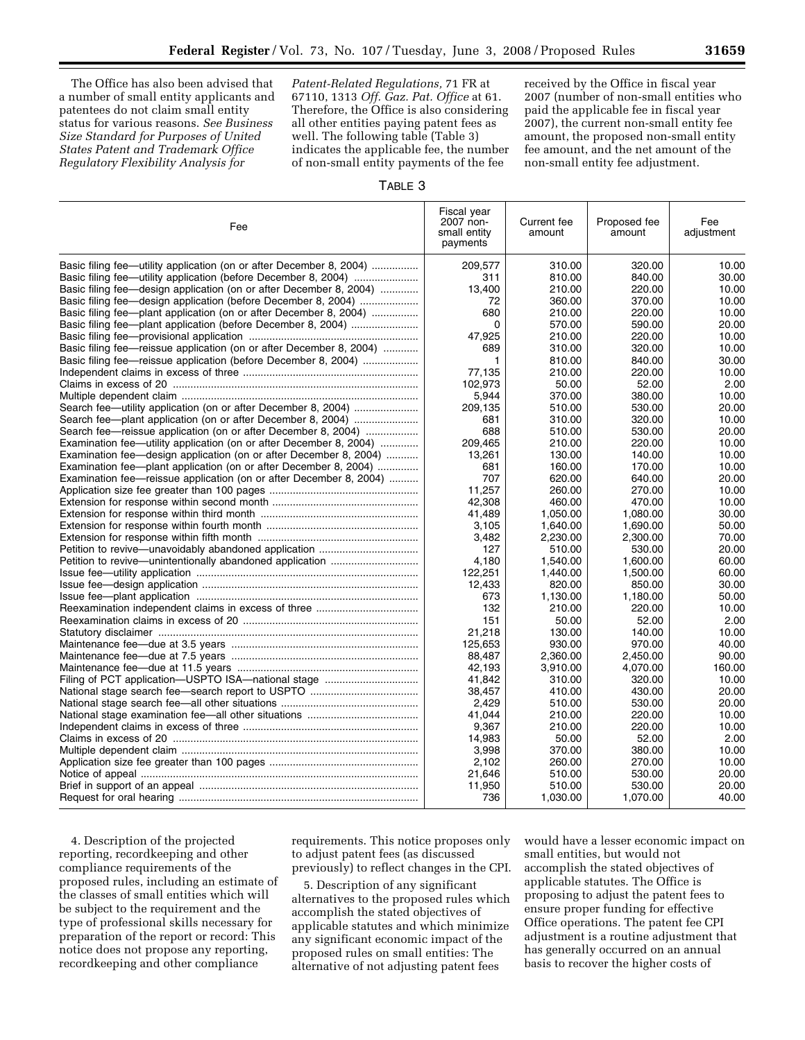The Office has also been advised that a number of small entity applicants and patentees do not claim small entity status for various reasons. *See Business Size Standard for Purposes of United States Patent and Trademark Office Regulatory Flexibility Analysis for* 

*Patent-Related Regulations,* 71 FR at 67110, 1313 *Off. Gaz. Pat. Office* at 61. Therefore, the Office is also considering all other entities paying patent fees as well. The following table (Table 3) indicates the applicable fee, the number of non-small entity payments of the fee

received by the Office in fiscal year 2007 (number of non-small entities who paid the applicable fee in fiscal year 2007), the current non-small entity fee amount, the proposed non-small entity fee amount, and the net amount of the non-small entity fee adjustment.

# TABLE 3

| Fee                                                                 | Fiscal year<br>2007 non-<br>small entity<br>payments | Current fee<br>amount | Proposed fee<br>amount | Fee<br>adjustment |
|---------------------------------------------------------------------|------------------------------------------------------|-----------------------|------------------------|-------------------|
| Basic filing fee—utility application (on or after December 8, 2004) | 209,577                                              | 310.00                | 320.00                 | 10.00             |
| Basic filing fee—utility application (before December 8, 2004)      | 311                                                  | 810.00                | 840.00                 | 30.00             |
| Basic filing fee—design application (on or after December 8, 2004)  | 13,400                                               | 210.00                | 220.00                 | 10.00             |
| Basic filing fee—design application (before December 8, 2004)       | 72                                                   | 360.00                | 370.00                 | 10.00             |
| Basic filing fee—plant application (on or after December 8, 2004)   | 680                                                  | 210.00                | 220.00                 | 10.00             |
|                                                                     | $\Omega$                                             | 570.00                | 590.00                 | 20.00             |
|                                                                     | 47,925                                               | 210.00                | 220.00                 | 10.00             |
| Basic filing fee—reissue application (on or after December 8, 2004) | 689                                                  | 310.00                | 320.00                 | 10.00             |
| Basic filing fee—reissue application (before December 8, 2004)      | 1                                                    | 810.00                | 840.00                 | 30.00             |
|                                                                     | 77,135                                               | 210.00                | 220.00                 | 10.00             |
|                                                                     | 102,973                                              | 50.00                 | 52.00                  | 2.00              |
|                                                                     | 5,944                                                | 370.00                | 380.00                 | 10.00             |
| Search fee—utility application (on or after December 8, 2004)       | 209,135                                              | 510.00                | 530.00                 | 20.00             |
| Search fee-plant application (on or after December 8, 2004)         | 681                                                  | 310.00                | 320.00                 | 10.00             |
| Search fee—reissue application (on or after December 8, 2004)       | 688                                                  | 510.00                | 530.00                 | 20.00             |
| Examination fee—utility application (on or after December 8, 2004)  | 209.465                                              | 210.00                | 220.00                 | 10.00             |
| Examination fee—design application (on or after December 8, 2004)   | 13,261                                               | 130.00                | 140.00                 | 10.00             |
| Examination fee—plant application (on or after December 8, 2004)    | 681                                                  | 160.00                | 170.00                 | 10.00             |
| Examination fee—reissue application (on or after December 8, 2004)  | 707                                                  | 620.00                | 640.00                 | 20.00             |
|                                                                     | 11.257                                               | 260.00                | 270.00                 | 10.00             |
|                                                                     | 42,308                                               | 460.00                | 470.00                 | 10.00             |
|                                                                     | 41,489                                               | 1,050.00              | 1,080.00               | 30.00             |
|                                                                     |                                                      |                       |                        |                   |
|                                                                     | 3,105                                                | 1,640.00              | 1,690.00               | 50.00<br>70.00    |
|                                                                     | 3,482<br>127                                         | 2,230.00<br>510.00    | 2,300.00<br>530.00     | 20.00             |
|                                                                     |                                                      |                       |                        |                   |
|                                                                     | 4,180                                                | 1,540.00              | 1,600.00               | 60.00             |
|                                                                     | 122.251                                              | 1.440.00              | 1.500.00               | 60.00             |
|                                                                     | 12,433                                               | 820.00                | 850.00                 | 30.00             |
|                                                                     | 673                                                  | 1,130.00              | 1,180.00               | 50.00             |
|                                                                     | 132                                                  | 210.00                | 220.00                 | 10.00             |
|                                                                     | 151                                                  | 50.00                 | 52.00                  | 2.00              |
|                                                                     | 21,218                                               | 130.00                | 140.00                 | 10.00             |
|                                                                     | 125,653                                              | 930.00                | 970.00                 | 40.00             |
|                                                                     | 88.487                                               | 2.360.00              | 2.450.00               | 90.00             |
|                                                                     | 42,193                                               | 3,910.00              | 4,070.00               | 160.00            |
| Filing of PCT application—USPTO ISA—national stage                  | 41,842                                               | 310.00                | 320.00                 | 10.00             |
|                                                                     | 38,457                                               | 410.00                | 430.00                 | 20.00             |
|                                                                     | 2.429                                                | 510.00                | 530.00                 | 20.00             |
|                                                                     | 41.044                                               | 210.00                | 220.00                 | 10.00             |
|                                                                     | 9,367                                                | 210.00                | 220.00                 | 10.00             |
|                                                                     | 14.983                                               | 50.00                 | 52.00                  | 2.00              |
|                                                                     | 3.998                                                | 370.00                | 380.00                 | 10.00             |
|                                                                     | 2,102                                                | 260.00                | 270.00                 | 10.00             |
|                                                                     | 21,646                                               | 510.00                | 530.00                 | 20.00             |
|                                                                     | 11,950                                               | 510.00                | 530.00                 | 20.00             |
|                                                                     | 736                                                  | 1,030.00              | 1,070.00               | 40.00             |

4. Description of the projected reporting, recordkeeping and other compliance requirements of the proposed rules, including an estimate of the classes of small entities which will be subject to the requirement and the type of professional skills necessary for preparation of the report or record: This notice does not propose any reporting, recordkeeping and other compliance

requirements. This notice proposes only to adjust patent fees (as discussed previously) to reflect changes in the CPI.

5. Description of any significant alternatives to the proposed rules which accomplish the stated objectives of applicable statutes and which minimize any significant economic impact of the proposed rules on small entities: The alternative of not adjusting patent fees

would have a lesser economic impact on small entities, but would not accomplish the stated objectives of applicable statutes. The Office is proposing to adjust the patent fees to ensure proper funding for effective Office operations. The patent fee CPI adjustment is a routine adjustment that has generally occurred on an annual basis to recover the higher costs of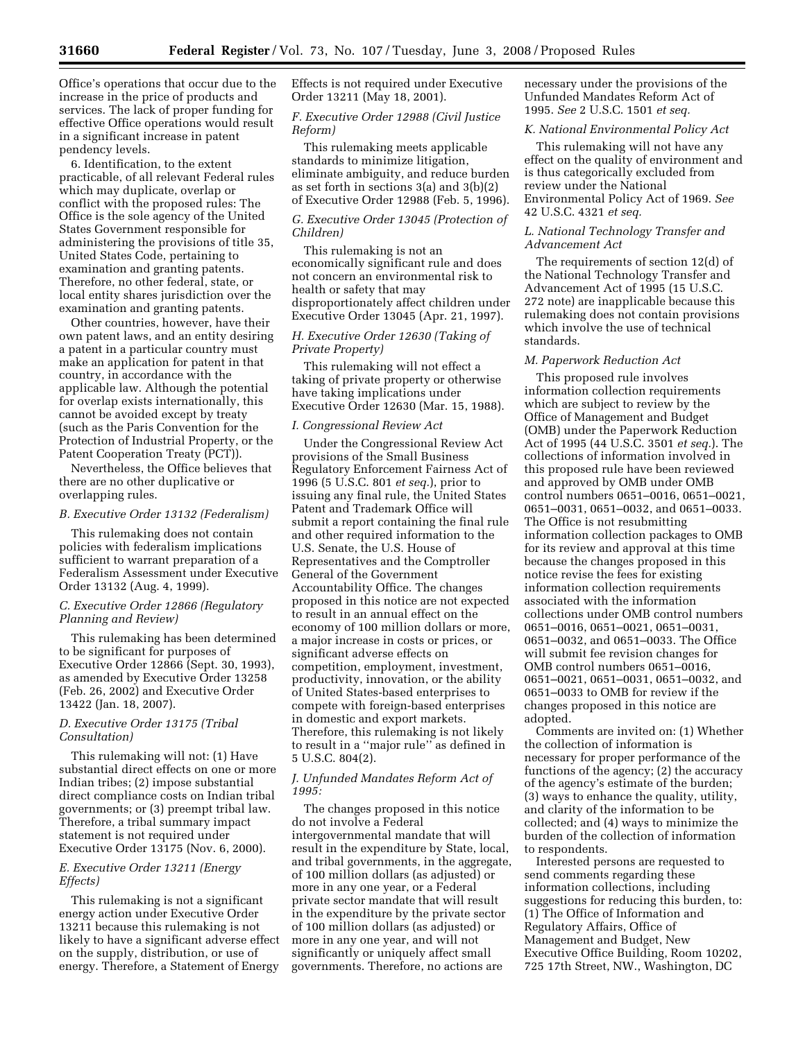Office's operations that occur due to the increase in the price of products and services. The lack of proper funding for effective Office operations would result in a significant increase in patent pendency levels.

6. Identification, to the extent practicable, of all relevant Federal rules which may duplicate, overlap or conflict with the proposed rules: The Office is the sole agency of the United States Government responsible for administering the provisions of title 35, United States Code, pertaining to examination and granting patents. Therefore, no other federal, state, or local entity shares jurisdiction over the examination and granting patents.

Other countries, however, have their own patent laws, and an entity desiring a patent in a particular country must make an application for patent in that country, in accordance with the applicable law. Although the potential for overlap exists internationally, this cannot be avoided except by treaty (such as the Paris Convention for the Protection of Industrial Property, or the Patent Cooperation Treaty (PCT)).

Nevertheless, the Office believes that there are no other duplicative or overlapping rules.

#### *B. Executive Order 13132 (Federalism)*

This rulemaking does not contain policies with federalism implications sufficient to warrant preparation of a Federalism Assessment under Executive Order 13132 (Aug. 4, 1999).

# *C. Executive Order 12866 (Regulatory Planning and Review)*

This rulemaking has been determined to be significant for purposes of Executive Order 12866 (Sept. 30, 1993), as amended by Executive Order 13258 (Feb. 26, 2002) and Executive Order 13422 (Jan. 18, 2007).

# *D. Executive Order 13175 (Tribal Consultation)*

This rulemaking will not: (1) Have substantial direct effects on one or more Indian tribes; (2) impose substantial direct compliance costs on Indian tribal governments; or (3) preempt tribal law. Therefore, a tribal summary impact statement is not required under Executive Order 13175 (Nov. 6, 2000).

## *E. Executive Order 13211 (Energy Effects)*

This rulemaking is not a significant energy action under Executive Order 13211 because this rulemaking is not likely to have a significant adverse effect on the supply, distribution, or use of energy. Therefore, a Statement of Energy

Effects is not required under Executive Order 13211 (May 18, 2001).

# *F. Executive Order 12988 (Civil Justice Reform)*

This rulemaking meets applicable standards to minimize litigation, eliminate ambiguity, and reduce burden as set forth in sections 3(a) and 3(b)(2) of Executive Order 12988 (Feb. 5, 1996).

## *G. Executive Order 13045 (Protection of Children)*

This rulemaking is not an economically significant rule and does not concern an environmental risk to health or safety that may disproportionately affect children under Executive Order 13045 (Apr. 21, 1997).

# *H. Executive Order 12630 (Taking of Private Property)*

This rulemaking will not effect a taking of private property or otherwise have taking implications under Executive Order 12630 (Mar. 15, 1988).

#### *I. Congressional Review Act*

Under the Congressional Review Act provisions of the Small Business Regulatory Enforcement Fairness Act of 1996 (5 U.S.C. 801 *et seq.*), prior to issuing any final rule, the United States Patent and Trademark Office will submit a report containing the final rule and other required information to the U.S. Senate, the U.S. House of Representatives and the Comptroller General of the Government Accountability Office. The changes proposed in this notice are not expected to result in an annual effect on the economy of 100 million dollars or more, a major increase in costs or prices, or significant adverse effects on competition, employment, investment, productivity, innovation, or the ability of United States-based enterprises to compete with foreign-based enterprises in domestic and export markets. Therefore, this rulemaking is not likely to result in a ''major rule'' as defined in 5 U.S.C. 804(2).

# *J. Unfunded Mandates Reform Act of 1995:*

The changes proposed in this notice do not involve a Federal intergovernmental mandate that will result in the expenditure by State, local, and tribal governments, in the aggregate, of 100 million dollars (as adjusted) or more in any one year, or a Federal private sector mandate that will result in the expenditure by the private sector of 100 million dollars (as adjusted) or more in any one year, and will not significantly or uniquely affect small governments. Therefore, no actions are

necessary under the provisions of the Unfunded Mandates Reform Act of 1995. *See* 2 U.S.C. 1501 *et seq.* 

## *K. National Environmental Policy Act*

This rulemaking will not have any effect on the quality of environment and is thus categorically excluded from review under the National Environmental Policy Act of 1969. *See*  42 U.S.C. 4321 *et seq.* 

# *L. National Technology Transfer and Advancement Act*

The requirements of section 12(d) of the National Technology Transfer and Advancement Act of 1995 (15 U.S.C. 272 note) are inapplicable because this rulemaking does not contain provisions which involve the use of technical standards.

# *M. Paperwork Reduction Act*

This proposed rule involves information collection requirements which are subject to review by the Office of Management and Budget (OMB) under the Paperwork Reduction Act of 1995 (44 U.S.C. 3501 *et seq.*). The collections of information involved in this proposed rule have been reviewed and approved by OMB under OMB control numbers 0651–0016, 0651–0021, 0651–0031, 0651–0032, and 0651–0033. The Office is not resubmitting information collection packages to OMB for its review and approval at this time because the changes proposed in this notice revise the fees for existing information collection requirements associated with the information collections under OMB control numbers 0651–0016, 0651–0021, 0651–0031, 0651–0032, and 0651–0033. The Office will submit fee revision changes for OMB control numbers 0651–0016, 0651–0021, 0651–0031, 0651–0032, and 0651–0033 to OMB for review if the changes proposed in this notice are adopted.

Comments are invited on: (1) Whether the collection of information is necessary for proper performance of the functions of the agency; (2) the accuracy of the agency's estimate of the burden; (3) ways to enhance the quality, utility, and clarity of the information to be collected; and (4) ways to minimize the burden of the collection of information to respondents.

Interested persons are requested to send comments regarding these information collections, including suggestions for reducing this burden, to: (1) The Office of Information and Regulatory Affairs, Office of Management and Budget, New Executive Office Building, Room 10202, 725 17th Street, NW., Washington, DC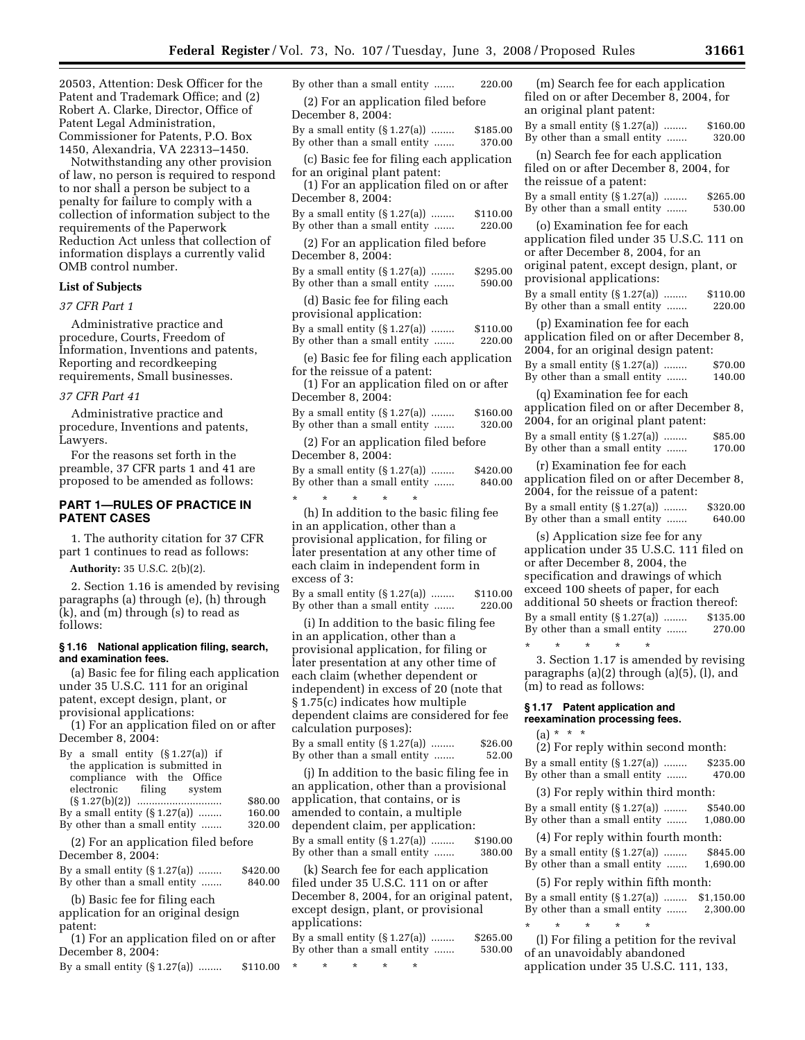20503, Attention: Desk Officer for the Patent and Trademark Office; and (2) Robert A. Clarke, Director, Office of Patent Legal Administration, Commissioner for Patents, P.O. Box 1450, Alexandria, VA 22313–1450.

Notwithstanding any other provision of law, no person is required to respond to nor shall a person be subject to a penalty for failure to comply with a collection of information subject to the requirements of the Paperwork Reduction Act unless that collection of information displays a currently valid OMB control number.

# **List of Subjects**

*37 CFR Part 1* 

Administrative practice and procedure, Courts, Freedom of Information, Inventions and patents, Reporting and recordkeeping requirements, Small businesses.

#### *37 CFR Part 41*

Administrative practice and procedure, Inventions and patents, Lawyers.

For the reasons set forth in the preamble, 37 CFR parts 1 and 41 are proposed to be amended as follows:

# **PART 1—RULES OF PRACTICE IN PATENT CASES**

1. The authority citation for 37 CFR part 1 continues to read as follows:

**Authority:** 35 U.S.C. 2(b)(2).

2. Section 1.16 is amended by revising paragraphs (a) through (e), (h) through (k), and (m) through (s) to read as follows:

## **§ 1.16 National application filing, search, and examination fees.**

(a) Basic fee for filing each application under 35 U.S.C. 111 for an original patent, except design, plant, or provisional applications:

(1) For an application filed on or after December 8, 2004:

| By a small entity $(\S 1.27(a))$ if                     |         |
|---------------------------------------------------------|---------|
| the application is submitted in                         |         |
| compliance with the Office                              |         |
| electronic filing system                                |         |
|                                                         | \$80.00 |
| By a small entity $(\S 1.27(a))$                        | 160.00  |
| By other than a small entity                            | 320.00  |
| (2) For an application filed before<br>Dogombor $9.004$ |         |
|                                                         |         |

| December 0, 2004.                |          |
|----------------------------------|----------|
| By a small entity $(\S 1.27(a))$ | \$420.00 |
| By other than a small entity     | 840.00   |

(b) Basic fee for filing each application for an original design

patent:

(1) For an application filed on or after December 8, 2004:

By a small entity  $(\S 1.27(a))$  ........  $\$110.00$  \*

| By other than a small entity                                                                                                               | 220.00             |
|--------------------------------------------------------------------------------------------------------------------------------------------|--------------------|
| (2) For an application filed before<br>December 8, 2004:                                                                                   |                    |
| By a small entity $(S1.27(a))$<br>By other than a small entity                                                                             | \$185.00<br>370.00 |
| (c) Basic fee for filing each application                                                                                                  |                    |
| for an original plant patent:<br>(1) For an application filed on or after<br>December 8, 2004:                                             |                    |
| By a small entity $(S1.27(a))$<br>By other than a small entity                                                                             | \$110.00<br>220.00 |
| (2) For an application filed before<br>December 8, 2004:                                                                                   |                    |
| By a small entity $(\S 1.27(a))$<br>By other than a small entity                                                                           | \$295.00<br>590.00 |
| (d) Basic fee for filing each<br>provisional application:                                                                                  |                    |
| By a small entity $(\S 1.27(a))$<br>By other than a small entity                                                                           | \$110.00<br>220.00 |
| (e) Basic fee for filing each application<br>for the reissue of a patent:<br>(1) For an application filed on or after<br>December 8, 2004: |                    |
| By a small entity $(\S 1.27(a))$<br>By other than a small entity                                                                           | \$160.00<br>320.00 |
| (2) For an application filed before<br>December 8, 2004:                                                                                   |                    |
| By a small entity $(S1.27(a))$<br>By other than a small entity                                                                             | \$420.00<br>840.00 |
| $\star$<br>÷<br>$\star$<br>(h) In addition to the basic filing fee                                                                         |                    |
| in an application, other than a                                                                                                            |                    |
| provisional application, for filing or                                                                                                     |                    |
| later presentation at any other time of<br>each claim in independent form in                                                               |                    |
| excess of 3:                                                                                                                               |                    |
| By a small entity $(\S 1.27(a))$<br>By other than a small entity                                                                           | \$110.00<br>220.00 |
| (i) In addition to the basic filing fee<br>in an application, other than a                                                                 |                    |
| provisional application, for filing or                                                                                                     |                    |
| later presentation at any other time of                                                                                                    |                    |
| each claim (whether dependent or<br>independent) in excess of 20 (note that                                                                |                    |
| §1.75(c) indicates how multiple<br>dependent claims are considered for fee                                                                 |                    |
|                                                                                                                                            |                    |

calculation purposes): By a small entity (§ 1.27(a)) ........ \$26.00<br>By other than a small entity ....... 52.00 By other than a small entity .......

(j) In addition to the basic filing fee in an application, other than a provisional application, that contains, or is amended to contain, a multiple dependent claim, per application: By a small entity (§ 1.27(a)) ........ \$190.00<br>By other than a small entity ....... 380.00 By other than a small entity .......

(k) Search fee for each application filed under 35 U.S.C. 111 on or after December 8, 2004, for an original patent, except design, plant, or provisional applications:

| By a small entity $(\S 1.27(a))$ | \$265.00 |
|----------------------------------|----------|
| By other than a small entity     | 530.00   |

\* \* \* \* \*

(m) Search fee for each application filed on or after December 8, 2004, for an original plant patent: By a small entity (§ 1.27(a)) ........ \$160.00 By other than a small entity ....... 320.00 (n) Search fee for each application filed on or after December 8, 2004, for the reissue of a patent: By a small entity  $(\S 1.27(a))$  ........  $\S 265.00$ <br>By other than a small entity 530.00 By other than a small entity ....... (o) Examination fee for each application filed under 35 U.S.C. 111 on or after December 8, 2004, for an original patent, except design, plant, or provisional applications: By a small entity (§ 1.27(a)) ........ \$110.00 By other than a small entity ....... 220.00 (p) Examination fee for each application filed on or after December 8, 2004, for an original design patent: By a small entity  $(S_1.27(a))$  ........ \$70.00 By other than a small entity ....... 140.00 (q) Examination fee for each application filed on or after December 8, 2004, for an original plant patent: By a small entity  $(\S 1.27(a))$  ........  $\S 85.00$ <br>By other than a small entity .......  $170.00$ By other than a small entity ....... (r) Examination fee for each application filed on or after December 8, 2004, for the reissue of a patent: By a small entity (§ 1.27(a)) ........ \$320.00 By other than a small entity ....... 640.00 (s) Application size fee for any application under 35 U.S.C. 111 filed on or after December 8, 2004, the specification and drawings of which exceed 100 sheets of paper, for each additional 50 sheets or fraction thereof: By a small entity (§ 1.27(a)) ........ \$135.00 By other than a small entity ....... 270.00 \* \* \* \* \* 3. Section 1.17 is amended by revising paragraphs (a)(2) through (a)(5), (l), and (m) to read as follows: **§ 1.17 Patent application and reexamination processing fees.**  (a) \* \* \* (2) For reply within second month: By a small entity (§ 1.27(a)) ........ \$235.00 By other than a small entity ....... 470.00

(3) For reply within third month: By a small entity (§ 1.27(a)) ........ \$540.00 By other than a small entity ....... 1,080.00

(4) For reply within fourth month: By a small entity  $(\$1.27(a))$  ........ \$845.00<br>By other than a small entity .......  $1.690.00$ By other than a small entity .......

(5) For reply within fifth month: By a small entity (§ 1.27(a)) ........ \$1,150.00 By other than a small entity ....... 2,300.00

\* \* \* \* \* (l) For filing a petition for the revival of an unavoidably abandoned application under 35 U.S.C. 111, 133,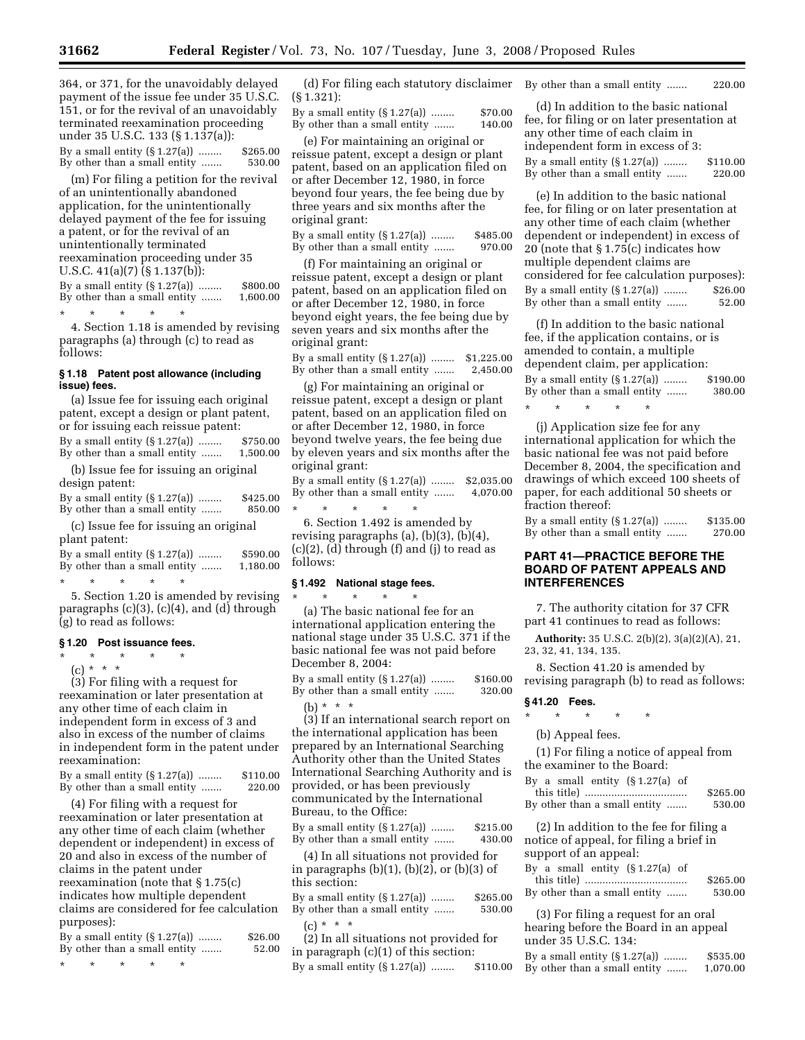364, or 371, for the unavoidably delayed payment of the issue fee under 35 U.S.C. 151, or for the revival of an unavoidably terminated reexamination proceeding under 35 U.S.C. 133 (§ 1.137(a)): By a small entity (§ 1.27(a)) ........ \$265.00

By other than a small entity ....... 530.00

(m) For filing a petition for the revival of an unintentionally abandoned application, for the unintentionally delayed payment of the fee for issuing a patent, or for the revival of an unintentionally terminated reexamination proceeding under 35 U.S.C. 41(a)(7) (§ 1.137(b)): By a small entity  $(\S 1.27(a))$  ........ \$800.00<br>By other than a small entity ....... 1,600.00 By other than a small entity .......

\* \* \* \* \*

4. Section 1.18 is amended by revising paragraphs (a) through (c) to read as follows:

#### **§ 1.18 Patent post allowance (including issue) fees.**

(a) Issue fee for issuing each original patent, except a design or plant patent, or for issuing each reissue patent: By a small entity (§ 1.27(a)) ........ \$750.00<br>By other than a small entity ....... 1.500.00 By other than a small entity .......

(b) Issue fee for issuing an original design patent:

| By a small entity $(\S 1.27(a))$ | \$425.00 |
|----------------------------------|----------|
| By other than a small entity     | 850.00   |

(c) Issue fee for issuing an original plant patent:

| By a small entity $(\S 1.27(a))$ | \$590.00 |
|----------------------------------|----------|
| By other than a small entity     | 1,180.00 |

\* \* \* \* \* 5. Section 1.20 is amended by revising paragraphs (c)(3), (c)(4), and (d) through (g) to read as follows:

## **§ 1.20 Post issuance fees.**

\* \* \* \* \*  $(c) * * * *$ 

(3) For filing with a request for reexamination or later presentation at any other time of each claim in independent form in excess of 3 and also in excess of the number of claims in independent form in the patent under reexamination:

| By a small entity $(\S 1.27(a))$ | \$110.00 |
|----------------------------------|----------|
| By other than a small entity     | 220.00   |

(4) For filing with a request for reexamination or later presentation at any other time of each claim (whether dependent or independent) in excess of 20 and also in excess of the number of claims in the patent under reexamination (note that § 1.75(c) indicates how multiple dependent claims are considered for fee calculation purposes):

|  | By a small entity $(\S 1.27(a))$<br>By other than a small entity |  | \$26.00<br>52.00 |
|--|------------------------------------------------------------------|--|------------------|
|  |                                                                  |  |                  |

\* \* \* \* \*

(d) For filing each statutory disclaimer By other than a small entity ....... 220.00 (§ 1.321):

By a small entity  $(\S 1.27(a))$  ........ \$70.00 By other than a small entity ....... 140.00

(e) For maintaining an original or reissue patent, except a design or plant patent, based on an application filed on or after December 12, 1980, in force beyond four years, the fee being due by three years and six months after the original grant:

By a small entity (§ 1.27(a)) ........ \$485.00<br>By other than a small entity ....... 970.00 By other than a small entity .......

(f) For maintaining an original or reissue patent, except a design or plant patent, based on an application filed on or after December 12, 1980, in force beyond eight years, the fee being due by seven years and six months after the original grant:

By a small entity (§ 1.27(a)) ........ \$1,225.00 By other than a small entity ....... 2,450.00

(g) For maintaining an original or reissue patent, except a design or plant patent, based on an application filed on or after December 12, 1980, in force beyond twelve years, the fee being due by eleven years and six months after the original grant:

By a small entity (§ 1.27(a)) ........ \$2,035.00<br>By other than a small entity ....... 4,070.00 By other than a small entity .......

\* \* \* \* \* 6. Section 1.492 is amended by revising paragraphs (a), (b)(3), (b)(4), (c)(2), (d) through (f) and (j) to read as follows:

# **§ 1.492 National stage fees.**

\* \* \* \* \* (a) The basic national fee for an international application entering the national stage under 35 U.S.C. 371 if the basic national fee was not paid before December 8, 2004:

By a small entity (§ 1.27(a)) ........ \$160.00 By other than a small entity ....... 320.00

(b)  $* * * *$ 

(3) If an international search report on the international application has been prepared by an International Searching Authority other than the United States International Searching Authority and is provided, or has been previously communicated by the International Bureau, to the Office:

By a small entity (§ 1.27(a)) ........ \$215.00<br>By other than a small entity ....... 430.00 By other than a small entity .......

(4) In all situations not provided for in paragraphs  $(b)(1)$ ,  $(b)(2)$ , or  $(b)(3)$  of this section:

By a small entity (§ 1.27(a)) ........ \$265.00<br>By other than a small entity ...... 530.00 By other than a small entity .......

(c) \* \* \* (2) In all situations not provided for in paragraph (c)(1) of this section: By a small entity (§ 1.27(a)) ........ \$110.00

(d) In addition to the basic national fee, for filing or on later presentation at any other time of each claim in independent form in excess of 3: By a small entity (§ 1.27(a)) ........ \$110.00<br>By other than a small entity ...... 220.00 By other than a small entity .......

(e) In addition to the basic national fee, for filing or on later presentation at any other time of each claim (whether dependent or independent) in excess of 20 (note that § 1.75(c) indicates how multiple dependent claims are considered for fee calculation purposes): By a small entity (§ 1.27(a)) ........ \$26.00<br>By other than a small entity ....... 52.00 By other than a small entity .......

(f) In addition to the basic national fee, if the application contains, or is amended to contain, a multiple dependent claim, per application:

By a small entity (§ 1.27(a)) ........ \$190.00 By other than a small entity ....... 380.00

\* \* \* \* \*

(j) Application size fee for any international application for which the basic national fee was not paid before December 8, 2004, the specification and drawings of which exceed 100 sheets of paper, for each additional 50 sheets or fraction thereof:

By a small entity (§ 1.27(a)) ........ \$135.00<br>By other than a small entity ....... 270.00 By other than a small entity .......

# **PART 41—PRACTICE BEFORE THE BOARD OF PATENT APPEALS AND INTERFERENCES**

7. The authority citation for 37 CFR part 41 continues to read as follows:

**Authority:** 35 U.S.C. 2(b)(2), 3(a)(2)(A), 21, 23, 32, 41, 134, 135.

8. Section 41.20 is amended by revising paragraph (b) to read as follows:

#### **§ 41.20 Fees.**

# \* \* \* \* \*

(b) Appeal fees.

(1) For filing a notice of appeal from the examiner to the Board:

| By a small entity $(\S 1.27(a)$ of |          |
|------------------------------------|----------|
|                                    | \$265.00 |
| By other than a small entity       | 530.00   |

(2) In addition to the fee for filing a notice of appeal, for filing a brief in support of an appeal:

| By a small entity $(\S 1.27(a)$ of |          |
|------------------------------------|----------|
|                                    | \$265.00 |
| By other than a small entity       | 530.00   |

(3) For filing a request for an oral hearing before the Board in an appeal under 35 U.S.C. 134:

| By a small entity $(\S 1.27(a))$ | \$535.00 |
|----------------------------------|----------|
| By other than a small entity     | 1,070.00 |